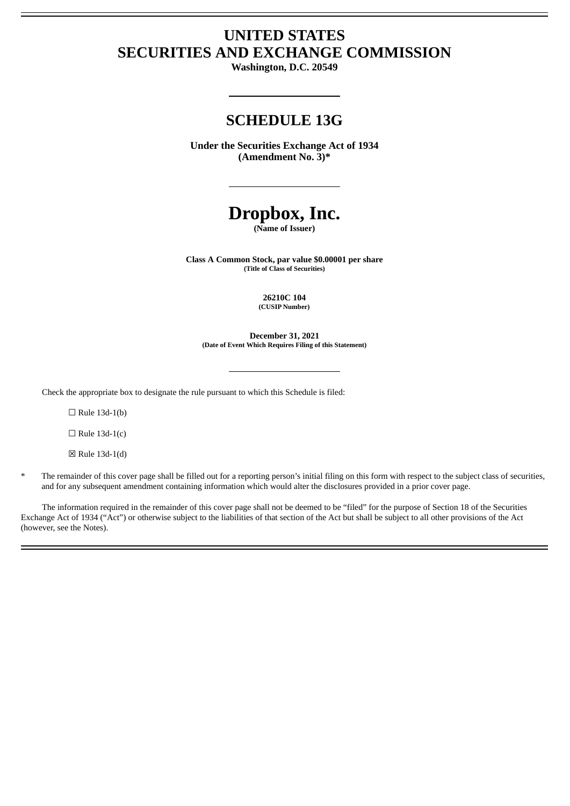# **UNITED STATES SECURITIES AND EXCHANGE COMMISSION**

**Washington, D.C. 20549**

# **SCHEDULE 13G**

**Under the Securities Exchange Act of 1934 (Amendment No. 3)\***

# **Dropbox, Inc.**

**(Name of Issuer)**

**Class A Common Stock, par value \$0.00001 per share (Title of Class of Securities)**

> **26210C 104 (CUSIP Number)**

**December 31, 2021 (Date of Event Which Requires Filing of this Statement)**

Check the appropriate box to designate the rule pursuant to which this Schedule is filed:

 $\Box$  Rule 13d-1(b)

 $\Box$  Rule 13d-1(c)

☒ Rule 13d-1(d)

The remainder of this cover page shall be filled out for a reporting person's initial filing on this form with respect to the subject class of securities, and for any subsequent amendment containing information which would alter the disclosures provided in a prior cover page.

The information required in the remainder of this cover page shall not be deemed to be "filed" for the purpose of Section 18 of the Securities Exchange Act of 1934 ("Act") or otherwise subject to the liabilities of that section of the Act but shall be subject to all other provisions of the Act (however, see the Notes).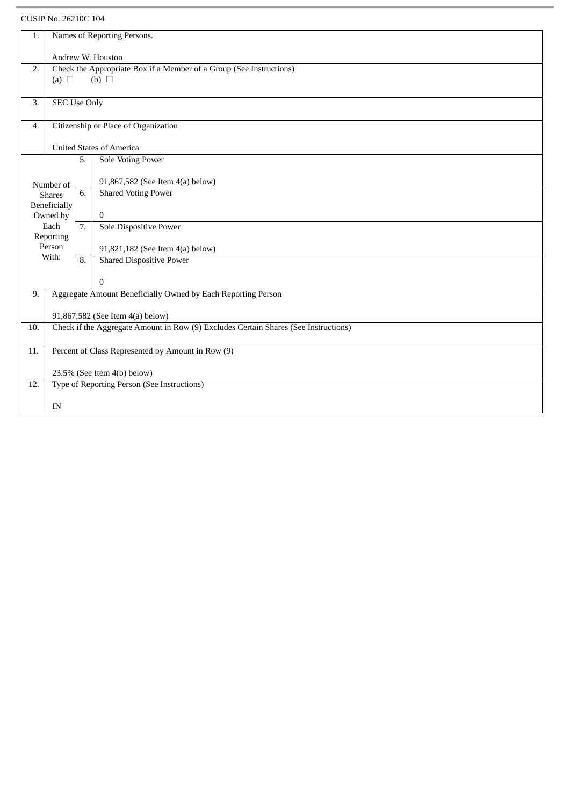# CUSIP No. 26210C 104

| 1.              |                                                                                     |                                      |                                  |
|-----------------|-------------------------------------------------------------------------------------|--------------------------------------|----------------------------------|
|                 | Names of Reporting Persons.                                                         |                                      |                                  |
|                 | Andrew W. Houston                                                                   |                                      |                                  |
| 2.              | Check the Appropriate Box if a Member of a Group (See Instructions)                 |                                      |                                  |
|                 | $(b)$ $\square$<br>(a) $\Box$                                                       |                                      |                                  |
|                 |                                                                                     |                                      |                                  |
| 3.              | <b>SEC Use Only</b>                                                                 |                                      |                                  |
|                 |                                                                                     |                                      |                                  |
| 4.              |                                                                                     | Citizenship or Place of Organization |                                  |
|                 |                                                                                     | <b>United States of America</b>      |                                  |
|                 |                                                                                     | <b>Sole Voting Power</b><br>5.       |                                  |
|                 |                                                                                     |                                      |                                  |
| Number of       |                                                                                     |                                      | 91,867,582 (See Item 4(a) below) |
| <b>Shares</b>   |                                                                                     | 6.                                   | <b>Shared Voting Power</b>       |
| Beneficially    |                                                                                     |                                      |                                  |
| Owned by        |                                                                                     |                                      | $\overline{0}$                   |
| Each            |                                                                                     | $\overline{7}$ .                     | <b>Sole Dispositive Power</b>    |
| Reporting       |                                                                                     |                                      |                                  |
| Person<br>With: |                                                                                     |                                      | 91,821,182 (See Item 4(a) below) |
|                 |                                                                                     | 8.                                   | <b>Shared Dispositive Power</b>  |
|                 |                                                                                     |                                      | $\overline{0}$                   |
| 9.              | Aggregate Amount Beneficially Owned by Each Reporting Person                        |                                      |                                  |
|                 |                                                                                     |                                      |                                  |
|                 | 91,867,582 (See Item 4(a) below)                                                    |                                      |                                  |
| 10.             | Check if the Aggregate Amount in Row (9) Excludes Certain Shares (See Instructions) |                                      |                                  |
| 11.             | Percent of Class Represented by Amount in Row (9)                                   |                                      |                                  |
|                 |                                                                                     |                                      |                                  |
|                 | 23.5% (See Item 4(b) below)                                                         |                                      |                                  |
| 12.             | Type of Reporting Person (See Instructions)                                         |                                      |                                  |
|                 | IN                                                                                  |                                      |                                  |
|                 |                                                                                     |                                      |                                  |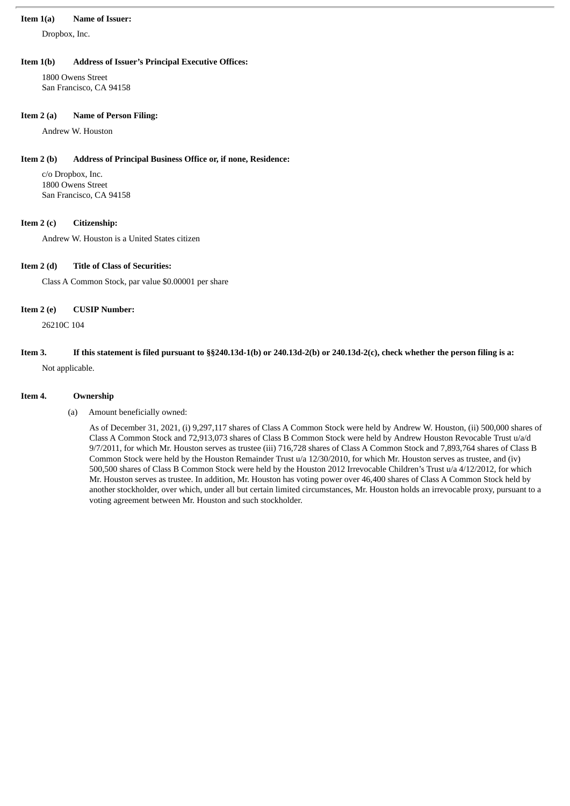#### **Item 1(a) Name of Issuer:**

Dropbox, Inc.

#### **Item 1(b) Address of Issuer's Principal Executive Offices:**

1800 Owens Street San Francisco, CA 94158

#### **Item 2 (a) Name of Person Filing:**

Andrew W. Houston

#### **Item 2 (b) Address of Principal Business Office or, if none, Residence:**

c/o Dropbox, Inc. 1800 Owens Street San Francisco, CA 94158

#### **Item 2 (c) Citizenship:**

Andrew W. Houston is a United States citizen

### **Item 2 (d) Title of Class of Securities:**

Class A Common Stock, par value \$0.00001 per share

#### **Item 2 (e) CUSIP Number:**

26210C 104

## If this statement is filed pursuant to §§240.13d-1(b) or 240.13d-2(b) or 240.13d-2(c), check whether the person filing is a: Not applicable.

#### **Item 4. Ownership**

#### (a) Amount beneficially owned:

As of December 31, 2021, (i) 9,297,117 shares of Class A Common Stock were held by Andrew W. Houston, (ii) 500,000 shares of Class A Common Stock and 72,913,073 shares of Class B Common Stock were held by Andrew Houston Revocable Trust u/a/d 9/7/2011, for which Mr. Houston serves as trustee (iii) 716,728 shares of Class A Common Stock and 7,893,764 shares of Class B Common Stock were held by the Houston Remainder Trust u/a 12/30/2010, for which Mr. Houston serves as trustee, and (iv) 500,500 shares of Class B Common Stock were held by the Houston 2012 Irrevocable Children's Trust u/a 4/12/2012, for which Mr. Houston serves as trustee. In addition, Mr. Houston has voting power over 46,400 shares of Class A Common Stock held by another stockholder, over which, under all but certain limited circumstances, Mr. Houston holds an irrevocable proxy, pursuant to a voting agreement between Mr. Houston and such stockholder.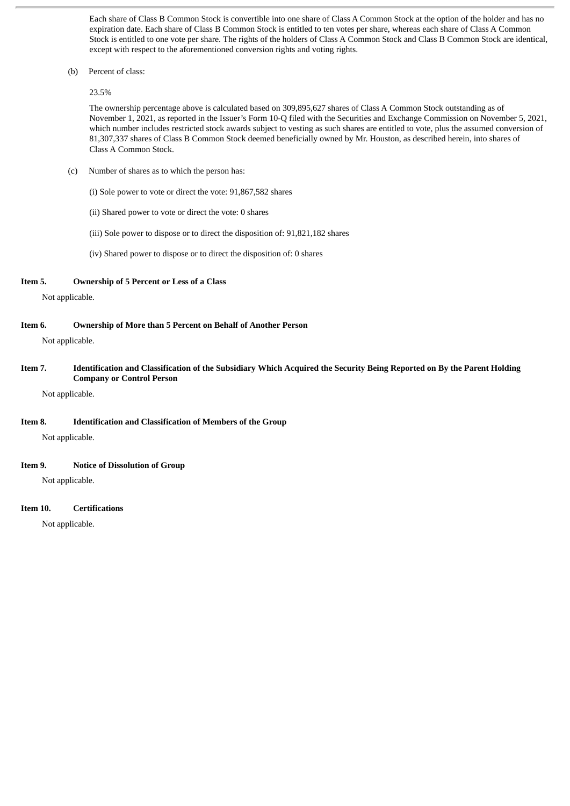Each share of Class B Common Stock is convertible into one share of Class A Common Stock at the option of the holder and has no expiration date. Each share of Class B Common Stock is entitled to ten votes per share, whereas each share of Class A Common Stock is entitled to one vote per share. The rights of the holders of Class A Common Stock and Class B Common Stock are identical, except with respect to the aforementioned conversion rights and voting rights.

(b) Percent of class:

23.5%

The ownership percentage above is calculated based on 309,895,627 shares of Class A Common Stock outstanding as of November 1, 2021, as reported in the Issuer's Form 10-Q filed with the Securities and Exchange Commission on November 5, 2021, which number includes restricted stock awards subject to vesting as such shares are entitled to vote, plus the assumed conversion of 81,307,337 shares of Class B Common Stock deemed beneficially owned by Mr. Houston, as described herein, into shares of Class A Common Stock.

(c) Number of shares as to which the person has:

(i) Sole power to vote or direct the vote: 91,867,582 shares

(ii) Shared power to vote or direct the vote: 0 shares

(iii) Sole power to dispose or to direct the disposition of: 91,821,182 shares

(iv) Shared power to dispose or to direct the disposition of: 0 shares

#### **Item 5. Ownership of 5 Percent or Less of a Class**

Not applicable.

#### **Item 6. Ownership of More than 5 Percent on Behalf of Another Person**

Not applicable.

Item 7. Identification and Classification of the Subsidiary Which Acquired the Security Being Reported on By the Parent Holding **Company or Control Person**

Not applicable.

#### **Item 8. Identification and Classification of Members of the Group**

Not applicable.

#### **Item 9. Notice of Dissolution of Group**

Not applicable.

#### **Item 10. Certifications**

Not applicable.